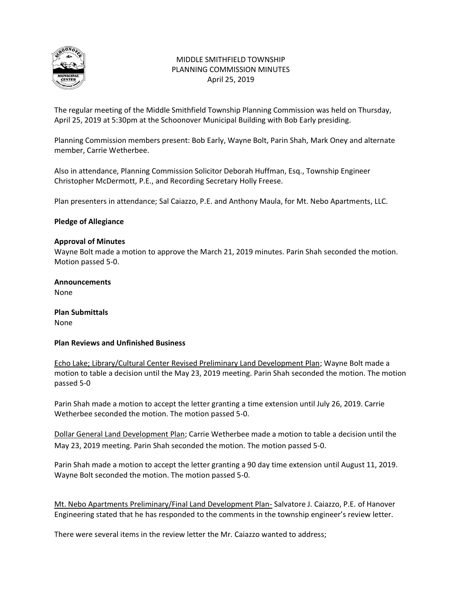

## MIDDLE SMITHFIELD TOWNSHIP PLANNING COMMISSION MINUTES April 25, 2019

The regular meeting of the Middle Smithfield Township Planning Commission was held on Thursday, April 25, 2019 at 5:30pm at the Schoonover Municipal Building with Bob Early presiding.

Planning Commission members present: Bob Early, Wayne Bolt, Parin Shah, Mark Oney and alternate member, Carrie Wetherbee.

Also in attendance, Planning Commission Solicitor Deborah Huffman, Esq., Township Engineer Christopher McDermott, P.E., and Recording Secretary Holly Freese.

Plan presenters in attendance; Sal Caiazzo, P.E. and Anthony Maula, for Mt. Nebo Apartments, LLC.

## **Pledge of Allegiance**

## **Approval of Minutes**

Wayne Bolt made a motion to approve the March 21, 2019 minutes. Parin Shah seconded the motion. Motion passed 5-0.

### **Announcements** None

**Plan Submittals** None

## **Plan Reviews and Unfinished Business**

Echo Lake; Library/Cultural Center Revised Preliminary Land Development Plan; Wayne Bolt made a motion to table a decision until the May 23, 2019 meeting. Parin Shah seconded the motion. The motion passed 5-0

Parin Shah made a motion to accept the letter granting a time extension until July 26, 2019. Carrie Wetherbee seconded the motion. The motion passed 5-0.

Dollar General Land Development Plan; Carrie Wetherbee made a motion to table a decision until the May 23, 2019 meeting. Parin Shah seconded the motion. The motion passed 5-0.

Parin Shah made a motion to accept the letter granting a 90 day time extension until August 11, 2019. Wayne Bolt seconded the motion. The motion passed 5-0.

Mt. Nebo Apartments Preliminary/Final Land Development Plan- Salvatore J. Caiazzo, P.E. of Hanover Engineering stated that he has responded to the comments in the township engineer's review letter.

There were several items in the review letter the Mr. Caiazzo wanted to address;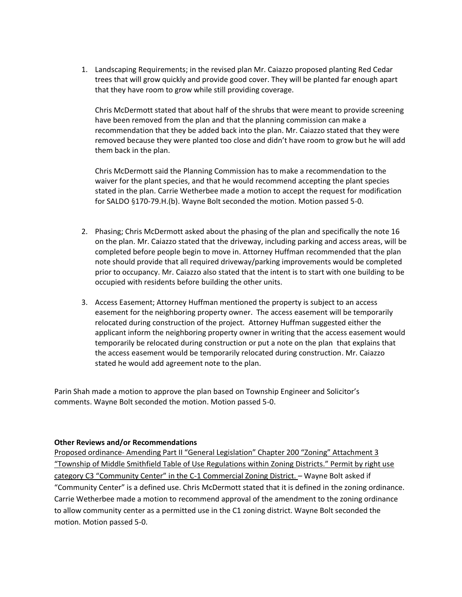1. Landscaping Requirements; in the revised plan Mr. Caiazzo proposed planting Red Cedar trees that will grow quickly and provide good cover. They will be planted far enough apart that they have room to grow while still providing coverage.

Chris McDermott stated that about half of the shrubs that were meant to provide screening have been removed from the plan and that the planning commission can make a recommendation that they be added back into the plan. Mr. Caiazzo stated that they were removed because they were planted too close and didn't have room to grow but he will add them back in the plan.

Chris McDermott said the Planning Commission has to make a recommendation to the waiver for the plant species, and that he would recommend accepting the plant species stated in the plan. Carrie Wetherbee made a motion to accept the request for modification for SALDO §170-79.H.(b). Wayne Bolt seconded the motion. Motion passed 5-0.

- 2. Phasing; Chris McDermott asked about the phasing of the plan and specifically the note 16 on the plan. Mr. Caiazzo stated that the driveway, including parking and access areas, will be completed before people begin to move in. Attorney Huffman recommended that the plan note should provide that all required driveway/parking improvements would be completed prior to occupancy. Mr. Caiazzo also stated that the intent is to start with one building to be occupied with residents before building the other units.
- 3. Access Easement; Attorney Huffman mentioned the property is subject to an access easement for the neighboring property owner. The access easement will be temporarily relocated during construction of the project. Attorney Huffman suggested either the applicant inform the neighboring property owner in writing that the access easement would temporarily be relocated during construction or put a note on the plan that explains that the access easement would be temporarily relocated during construction. Mr. Caiazzo stated he would add agreement note to the plan.

Parin Shah made a motion to approve the plan based on Township Engineer and Solicitor's comments. Wayne Bolt seconded the motion. Motion passed 5-0.

#### **Other Reviews and/or Recommendations**

Proposed ordinance- Amending Part II "General Legislation" Chapter 200 "Zoning" Attachment 3 "Township of Middle Smithfield Table of Use Regulations within Zoning Districts." Permit by right use category C3 "Community Center" in the C-1 Commercial Zoning District. - Wayne Bolt asked if "Community Center" is a defined use. Chris McDermott stated that it is defined in the zoning ordinance. Carrie Wetherbee made a motion to recommend approval of the amendment to the zoning ordinance to allow community center as a permitted use in the C1 zoning district. Wayne Bolt seconded the motion. Motion passed 5-0.